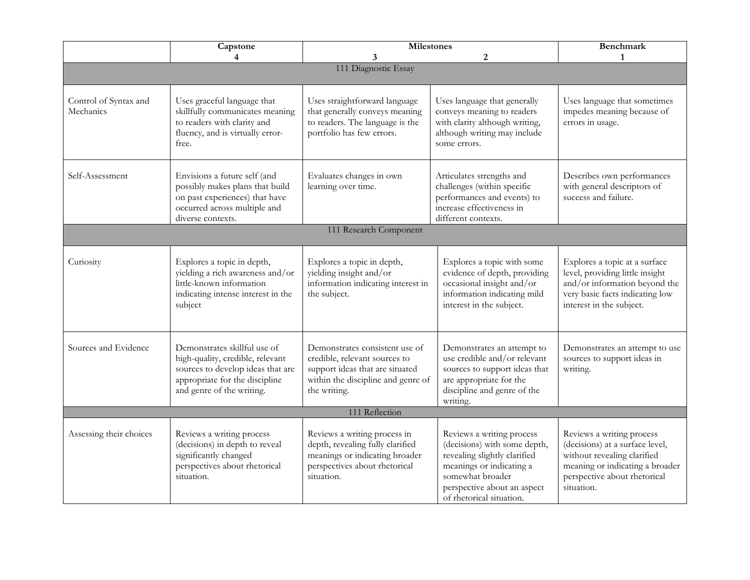|                                    | Capstone<br>4                                                                                                                                                        | <b>Milestones</b><br>$\overline{2}$<br>3                                                                                                                 |                                                                                                                                                                                                      | <b>Benchmark</b><br>1                                                                                                                                                        |  |  |
|------------------------------------|----------------------------------------------------------------------------------------------------------------------------------------------------------------------|----------------------------------------------------------------------------------------------------------------------------------------------------------|------------------------------------------------------------------------------------------------------------------------------------------------------------------------------------------------------|------------------------------------------------------------------------------------------------------------------------------------------------------------------------------|--|--|
| 111 Diagnostic Essay               |                                                                                                                                                                      |                                                                                                                                                          |                                                                                                                                                                                                      |                                                                                                                                                                              |  |  |
| Control of Syntax and<br>Mechanics | Uses graceful language that<br>skillfully communicates meaning<br>to readers with clarity and<br>fluency, and is virtually error-<br>free.                           | Uses straightforward language<br>that generally conveys meaning<br>to readers. The language is the<br>portfolio has few errors.                          | Uses language that generally<br>conveys meaning to readers<br>with clarity although writing,<br>although writing may include<br>some errors.                                                         | Uses language that sometimes<br>impedes meaning because of<br>errors in usage.                                                                                               |  |  |
| Self-Assessment                    | Envisions a future self (and<br>possibly makes plans that build<br>on past experiences) that have<br>occurred across multiple and<br>diverse contexts.               | Evaluates changes in own<br>learning over time.                                                                                                          | Articulates strengths and<br>challenges (within specific<br>performances and events) to<br>increase effectiveness in<br>different contexts.                                                          | Describes own performances<br>with general descriptors of<br>success and failure.                                                                                            |  |  |
| 111 Research Component             |                                                                                                                                                                      |                                                                                                                                                          |                                                                                                                                                                                                      |                                                                                                                                                                              |  |  |
| Curiosity                          | Explores a topic in depth,<br>yielding a rich awareness and/or<br>little-known information<br>indicating intense interest in the<br>subject                          | Explores a topic in depth,<br>yielding insight and/or<br>information indicating interest in<br>the subject.                                              | Explores a topic with some<br>evidence of depth, providing<br>occasional insight and/or<br>information indicating mild<br>interest in the subject.                                                   | Explores a topic at a surface<br>level, providing little insight<br>and/or information beyond the<br>very basic facts indicating low<br>interest in the subject.             |  |  |
| Sources and Evidence               | Demonstrates skillful use of<br>high-quality, credible, relevant<br>sources to develop ideas that are<br>appropriate for the discipline<br>and genre of the writing. | Demonstrates consistent use of<br>credible, relevant sources to<br>support ideas that are situated<br>within the discipline and genre of<br>the writing. | Demonstrates an attempt to<br>use credible and/or relevant<br>sources to support ideas that<br>are appropriate for the<br>discipline and genre of the<br>writing.                                    | Demonstrates an attempt to use<br>sources to support ideas in<br>writing.                                                                                                    |  |  |
| 111 Reflection                     |                                                                                                                                                                      |                                                                                                                                                          |                                                                                                                                                                                                      |                                                                                                                                                                              |  |  |
| Assessing their choices            | Reviews a writing process<br>(decisions) in depth to reveal<br>significantly changed<br>perspectives about rhetorical<br>situation.                                  | Reviews a writing process in<br>depth, revealing fully clarified<br>meanings or indicating broader<br>perspectives about rhetorical<br>situation.        | Reviews a writing process<br>(decisions) with some depth,<br>revealing slightly clarified<br>meanings or indicating a<br>somewhat broader<br>perspective about an aspect<br>of rhetorical situation. | Reviews a writing process<br>(decisions) at a surface level,<br>without revealing clarified<br>meaning or indicating a broader<br>perspective about rhetorical<br>situation. |  |  |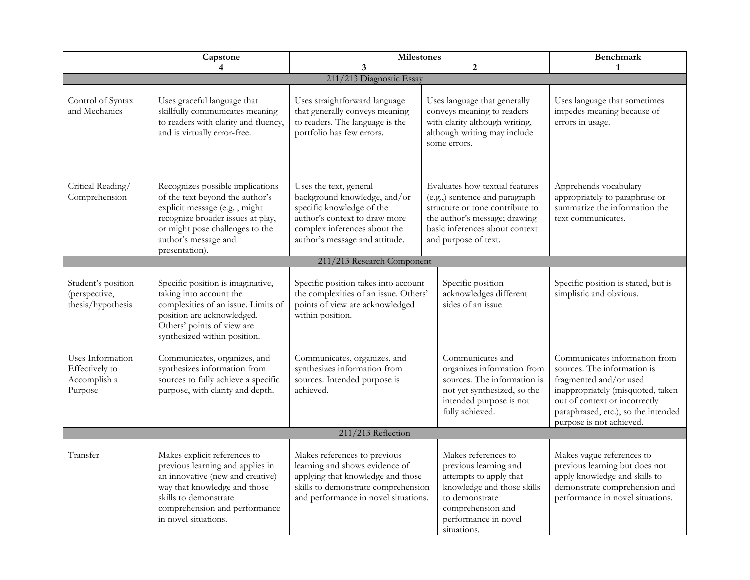|                                                               | Capstone                                                                                                                                                                                                               | <b>Milestones</b>                                                                                                                                                                      |                                                                                                                                                                                                | <b>Benchmark</b>                                                                                                                                                  |  |  |
|---------------------------------------------------------------|------------------------------------------------------------------------------------------------------------------------------------------------------------------------------------------------------------------------|----------------------------------------------------------------------------------------------------------------------------------------------------------------------------------------|------------------------------------------------------------------------------------------------------------------------------------------------------------------------------------------------|-------------------------------------------------------------------------------------------------------------------------------------------------------------------|--|--|
|                                                               | $\overline{4}$                                                                                                                                                                                                         | 3                                                                                                                                                                                      | $\boldsymbol{2}$                                                                                                                                                                               | $\mathbf{1}$                                                                                                                                                      |  |  |
|                                                               |                                                                                                                                                                                                                        | 211/213 Diagnostic Essay                                                                                                                                                               |                                                                                                                                                                                                |                                                                                                                                                                   |  |  |
| Control of Syntax<br>and Mechanics                            | Uses graceful language that<br>skillfully communicates meaning<br>to readers with clarity and fluency,<br>and is virtually error-free.                                                                                 | Uses straightforward language<br>that generally conveys meaning<br>to readers. The language is the<br>portfolio has few errors.                                                        | Uses language that generally<br>conveys meaning to readers<br>with clarity although writing,<br>although writing may include<br>some errors.                                                   | Uses language that sometimes<br>impedes meaning because of<br>errors in usage.                                                                                    |  |  |
| Critical Reading/<br>Comprehension                            | Recognizes possible implications<br>of the text beyond the author's<br>explicit message (e.g., might<br>recognize broader issues at play,<br>or might pose challenges to the<br>author's message and<br>presentation). | Uses the text, general<br>background knowledge, and/or<br>specific knowledge of the<br>author's context to draw more<br>complex inferences about the<br>author's message and attitude. | Evaluates how textual features<br>(e.g.,) sentence and paragraph<br>structure or tone contribute to<br>the author's message; drawing<br>basic inferences about context<br>and purpose of text. | Apprehends vocabulary<br>appropriately to paraphrase or<br>summarize the information the<br>text communicates.                                                    |  |  |
|                                                               |                                                                                                                                                                                                                        | 211/213 Research Component                                                                                                                                                             |                                                                                                                                                                                                |                                                                                                                                                                   |  |  |
| Student's position<br>(perspective,<br>thesis/hypothesis      | Specific position is imaginative,<br>taking into account the<br>complexities of an issue. Limits of<br>position are acknowledged.<br>Others' points of view are<br>synthesized within position.                        | Specific position takes into account<br>the complexities of an issue. Others'<br>points of view are acknowledged<br>within position.                                                   | Specific position<br>acknowledges different<br>sides of an issue                                                                                                                               | Specific position is stated, but is<br>simplistic and obvious.                                                                                                    |  |  |
| Uses Information<br>Effectively to<br>Accomplish a<br>Purpose | Communicates, organizes, and<br>synthesizes information from<br>sources to fully achieve a specific<br>purpose, with clarity and depth.                                                                                | Communicates, organizes, and<br>synthesizes information from<br>sources. Intended purpose is<br>achieved.                                                                              | Communicates and<br>organizes information from<br>sources. The information is<br>not yet synthesized, so the<br>intended purpose is not<br>fully achieved.                                     |                                                                                                                                                                   |  |  |
| 211/213 Reflection                                            |                                                                                                                                                                                                                        |                                                                                                                                                                                        |                                                                                                                                                                                                |                                                                                                                                                                   |  |  |
| Transfer                                                      | Makes explicit references to<br>previous learning and applies in<br>an innovative (new and creative)<br>way that knowledge and those<br>skills to demonstrate<br>comprehension and performance<br>in novel situations. | Makes references to previous<br>learning and shows evidence of<br>applying that knowledge and those<br>skills to demonstrate comprehension<br>and performance in novel situations.     | Makes references to<br>previous learning and<br>attempts to apply that<br>knowledge and those skills<br>to demonstrate<br>comprehension and<br>performance in novel<br>situations.             | Makes vague references to<br>previous learning but does not<br>apply knowledge and skills to<br>demonstrate comprehension and<br>performance in novel situations. |  |  |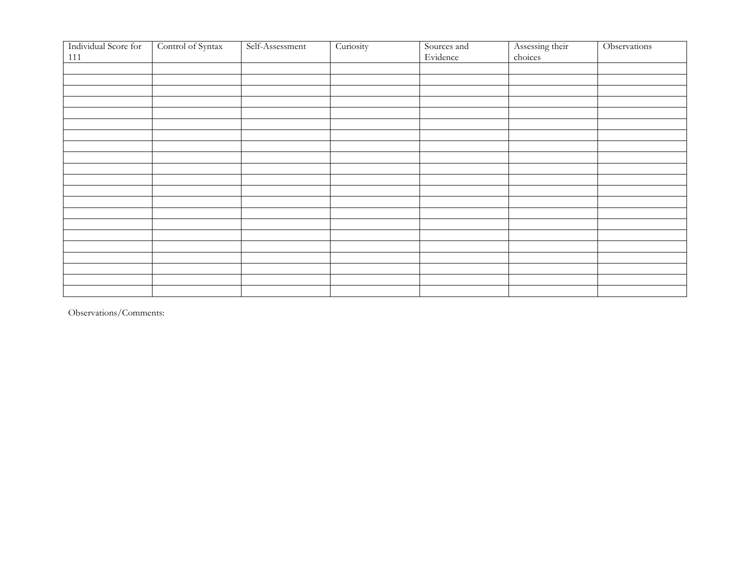| Individual Score for | Control of Syntax | Self-Assessment | Curiosity | Sources and | Assessing their | Observations |
|----------------------|-------------------|-----------------|-----------|-------------|-----------------|--------------|
| $111\,$              |                   |                 |           | Evidence    | choices         |              |
|                      |                   |                 |           |             |                 |              |
|                      |                   |                 |           |             |                 |              |
|                      |                   |                 |           |             |                 |              |
|                      |                   |                 |           |             |                 |              |
|                      |                   |                 |           |             |                 |              |
|                      |                   |                 |           |             |                 |              |
|                      |                   |                 |           |             |                 |              |
|                      |                   |                 |           |             |                 |              |
|                      |                   |                 |           |             |                 |              |
|                      |                   |                 |           |             |                 |              |
|                      |                   |                 |           |             |                 |              |
|                      |                   |                 |           |             |                 |              |
|                      |                   |                 |           |             |                 |              |
|                      |                   |                 |           |             |                 |              |
|                      |                   |                 |           |             |                 |              |
|                      |                   |                 |           |             |                 |              |
|                      |                   |                 |           |             |                 |              |
|                      |                   |                 |           |             |                 |              |
|                      |                   |                 |           |             |                 |              |
|                      |                   |                 |           |             |                 |              |
|                      |                   |                 |           |             |                 |              |

Observations/Comments: